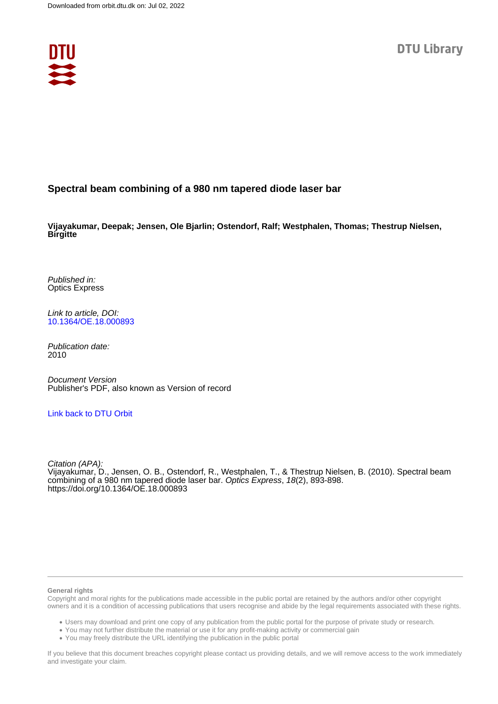

# **Spectral beam combining of a 980 nm tapered diode laser bar**

**Vijayakumar, Deepak; Jensen, Ole Bjarlin; Ostendorf, Ralf; Westphalen, Thomas; Thestrup Nielsen, Birgitte**

Published in: Optics Express

Link to article, DOI: [10.1364/OE.18.000893](https://doi.org/10.1364/OE.18.000893)

Publication date: 2010

Document Version Publisher's PDF, also known as Version of record

# [Link back to DTU Orbit](https://orbit.dtu.dk/en/publications/fa9c2105-cdca-4e3a-a759-30514f768931)

Citation (APA): Vijayakumar, D., Jensen, O. B., Ostendorf, R., Westphalen, T., & Thestrup Nielsen, B. (2010). Spectral beam combining of a 980 nm tapered diode laser bar. Optics Express, 18(2), 893-898. <https://doi.org/10.1364/OE.18.000893>

#### **General rights**

Copyright and moral rights for the publications made accessible in the public portal are retained by the authors and/or other copyright owners and it is a condition of accessing publications that users recognise and abide by the legal requirements associated with these rights.

Users may download and print one copy of any publication from the public portal for the purpose of private study or research.

- You may not further distribute the material or use it for any profit-making activity or commercial gain
- You may freely distribute the URL identifying the publication in the public portal

If you believe that this document breaches copyright please contact us providing details, and we will remove access to the work immediately and investigate your claim.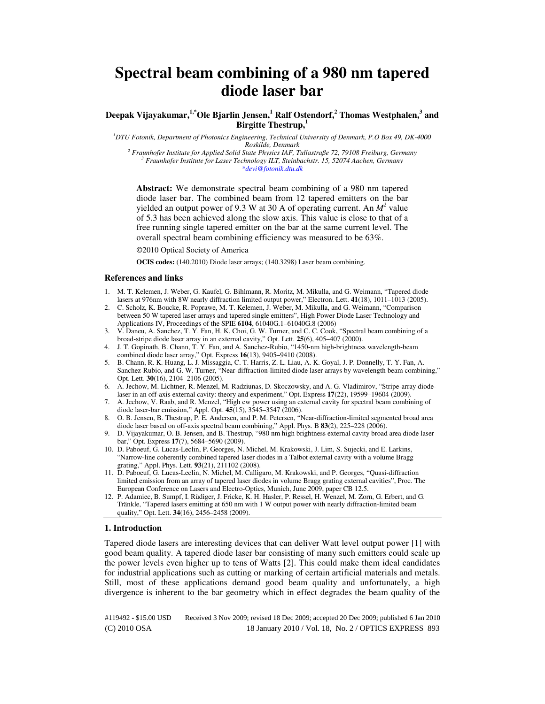# **Spectral beam combining of a 980 nm tapered diode laser bar**

**Deepak Vijayakumar,1,\*Ole Bjarlin Jensen,<sup>1</sup> Ralf Ostendorf,<sup>2</sup> Thomas Westphalen,<sup>3</sup> and Birgitte Thestrup,<sup>1</sup>**

*<sup>1</sup>DTU Fotonik, Department of Photonics Engineering, Technical University of Denmark, P.O Box 49, DK-4000 Roskilde, Denmark* 

<sup>2</sup> Fraunhofer Institute for Applied Solid State Physics IAF, Tullastraße 72, 79108 Freiburg, Germany *3 Fraunhofer Institute for Laser Technology ILT, Steinbachstr. 15, 52074 Aachen, Germany \*devi@fotonik.dtu.dk* 

**Abstract:** We demonstrate spectral beam combining of a 980 nm tapered diode laser bar. The combined beam from 12 tapered emitters on the bar yielded an output power of 9.3 W at 30 A of operating current. An  $M^2$  value of 5.3 has been achieved along the slow axis. This value is close to that of a free running single tapered emitter on the bar at the same current level. The overall spectral beam combining efficiency was measured to be 63%.

©2010 Optical Society of America

**OCIS codes:** (140.2010) Diode laser arrays; (140.3298) Laser beam combining.

### **References and links**

- 1. M. T. Kelemen, J. Weber, G. Kaufel, G. Bihlmann, R. Moritz, M. Mikulla, and G. Weimann, "Tapered diode lasers at 976nm with 8W nearly diffraction limited output power," Electron. Lett. **41**(18), 1011–1013 (2005).
- 2. C. Scholz, K. Boucke, R. Poprawe, M. T. Kelemen, J. Weber, M. Mikulla, and G. Weimann, "Comparison between 50 W tapered laser arrays and tapered single emitters", High Power Diode Laser Technology and Applications IV, Proceedings of the SPIE **6104**, 61040G.1–61040G.8 (2006)
- 3. V. Daneu, A. Sanchez, T. Y. Fan, H. K. Choi, G. W. Turner, and C. C. Cook, "Spectral beam combining of a broad-stripe diode laser array in an external cavity," Opt. Lett. **25**(6), 405–407 (2000).
- 4. J. T. Gopinath, B. Chann, T. Y. Fan, and A. Sanchez-Rubio, "1450-nm high-brightness wavelength-beam combined diode laser array," Opt. Express **16**(13), 9405–9410 (2008).
- 5. B. Chann, R. K. Huang, L. J. Missaggia, C. T. Harris, Z. L. Liau, A. K. Goyal, J. P. Donnelly, T. Y. Fan, A. Sanchez-Rubio, and G. W. Turner, "Near-diffraction-limited diode laser arrays by wavelength beam combining," Opt. Lett. **30**(16), 2104–2106 (2005).
- 6. A. Jechow, M. Lichtner, R. Menzel, M. Radziunas, D. Skoczowsky, and A. G. Vladimirov, "Stripe-array diodelaser in an off-axis external cavity: theory and experiment," Opt. Express **17**(22), 19599–19604 (2009).
- 7. A. Jechow, V. Raab, and R. Menzel, "High cw power using an external cavity for spectral beam combining of diode laser-bar emission," Appl. Opt. **45**(15), 3545–3547 (2006).
- 8. O. B. Jensen, B. Thestrup, P. E. Andersen, and P. M. Petersen, "Near-diffraction-limited segmented broad area diode laser based on off-axis spectral beam combining," Appl. Phys. B **83**(2), 225–228 (2006).
- 9. D. Vijayakumar, O. B. Jensen, and B. Thestrup, "980 nm high brightness external cavity broad area diode laser bar," Opt. Express **17**(7), 5684–5690 (2009).
- 10. D. Paboeuf, G. Lucas-Leclin, P. Georges, N. Michel, M. Krakowski, J. Lim, S. Sujecki, and E. Larkins, "Narrow-line coherently combined tapered laser diodes in a Talbot external cavity with a volume Bragg grating," Appl. Phys. Lett. **93**(21), 211102 (2008).
- 11. D. Paboeuf, G. Lucas-Leclin, N. Michel, M. Calligaro, M. Krakowski, and P. Georges, "Quasi-diffraction limited emission from an array of tapered laser diodes in volume Bragg grating external cavities", Proc. The European Conference on Lasers and Electro-Optics, Munich, June 2009, paper CB 12.5.
- 12. P. Adamiec, B. Sumpf, I. Rüdiger, J. Fricke, K. H. Hasler, P. Ressel, H. Wenzel, M. Zorn, G. Erbert, and G. Tränkle, "Tapered lasers emitting at 650 nm with 1 W output power with nearly diffraction-limited beam quality," Opt. Lett. **34**(16), 2456–2458 (2009).

#### **1. Introduction**

Tapered diode lasers are interesting devices that can deliver Watt level output power [1] with good beam quality. A tapered diode laser bar consisting of many such emitters could scale up the power levels even higher up to tens of Watts [2]. This could make them ideal candidates for industrial applications such as cutting or marking of certain artificial materials and metals. Still, most of these applications demand good beam quality and unfortunately, a high divergence is inherent to the bar geometry which in effect degrades the beam quality of the

(C) 2010 OSA 18 January 2010 / Vol. 18, No. 2 / OPTICS EXPRESS 893 #119492 - \$15.00 USD Received 3 Nov 2009; revised 18 Dec 2009; accepted 20 Dec 2009; published 6 Jan 2010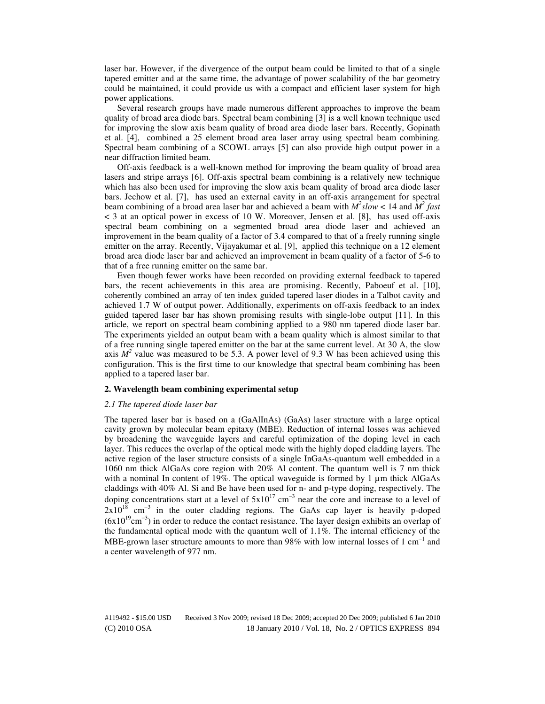laser bar. However, if the divergence of the output beam could be limited to that of a single tapered emitter and at the same time, the advantage of power scalability of the bar geometry could be maintained, it could provide us with a compact and efficient laser system for high power applications.

Several research groups have made numerous different approaches to improve the beam quality of broad area diode bars. Spectral beam combining [3] is a well known technique used for improving the slow axis beam quality of broad area diode laser bars. Recently, Gopinath et al. [4], combined a 25 element broad area laser array using spectral beam combining. Spectral beam combining of a SCOWL arrays [5] can also provide high output power in a near diffraction limited beam.

Off-axis feedback is a well-known method for improving the beam quality of broad area lasers and stripe arrays [6]. Off-axis spectral beam combining is a relatively new technique which has also been used for improving the slow axis beam quality of broad area diode laser bars. Jechow et al. [7], has used an external cavity in an off-axis arrangement for spectral beam combining of a broad area laser bar and achieved a beam with  $M^2slow < 14$  and  $M^2$  fast < 3 at an optical power in excess of 10 W. Moreover, Jensen et al. [8], has used off-axis spectral beam combining on a segmented broad area diode laser and achieved an improvement in the beam quality of a factor of 3.4 compared to that of a freely running single emitter on the array. Recently, Vijayakumar et al. [9], applied this technique on a 12 element broad area diode laser bar and achieved an improvement in beam quality of a factor of 5-6 to that of a free running emitter on the same bar.

Even though fewer works have been recorded on providing external feedback to tapered bars, the recent achievements in this area are promising. Recently, Paboeuf et al. [10], coherently combined an array of ten index guided tapered laser diodes in a Talbot cavity and achieved 1.7 W of output power. Additionally, experiments on off-axis feedback to an index guided tapered laser bar has shown promising results with single-lobe output [11]. In this article, we report on spectral beam combining applied to a 980 nm tapered diode laser bar. The experiments yielded an output beam with a beam quality which is almost similar to that of a free running single tapered emitter on the bar at the same current level. At 30 A, the slow axis  $M^2$  value was measured to be 5.3. A power level of 9.3 W has been achieved using this configuration. This is the first time to our knowledge that spectral beam combining has been applied to a tapered laser bar.

#### **2. Wavelength beam combining experimental setup**

#### *2.1 The tapered diode laser bar*

The tapered laser bar is based on a (GaAlInAs) (GaAs) laser structure with a large optical cavity grown by molecular beam epitaxy (MBE). Reduction of internal losses was achieved by broadening the waveguide layers and careful optimization of the doping level in each layer. This reduces the overlap of the optical mode with the highly doped cladding layers. The active region of the laser structure consists of a single InGaAs-quantum well embedded in a 1060 nm thick AlGaAs core region with 20% Al content. The quantum well is 7 nm thick with a nominal In content of 19%. The optical waveguide is formed by 1  $\mu$ m thick AlGaAs claddings with 40% Al. Si and Be have been used for n- and p-type doping, respectively. The doping concentrations start at a level of  $5x10^{17}$  cm<sup>-3</sup> near the core and increase to a level of  $2x10^{18}$  cm<sup>-3</sup> in the outer cladding regions. The GaAs cap layer is heavily p-doped (6x10<sup>19</sup>cm<sup>-3</sup>) in order to reduce the contact resistance. The layer design exhibits an overlap of the fundamental optical mode with the quantum well of 1.1%. The internal efficiency of the MBE-grown laser structure amounts to more than 98% with low internal losses of 1 cm<sup>-1</sup> and a center wavelength of 977 nm.

(C) 2010 OSA 18 January 2010 / Vol. 18, No. 2 / OPTICS EXPRESS 894 #119492 - \$15.00 USD Received 3 Nov 2009; revised 18 Dec 2009; accepted 20 Dec 2009; published 6 Jan 2010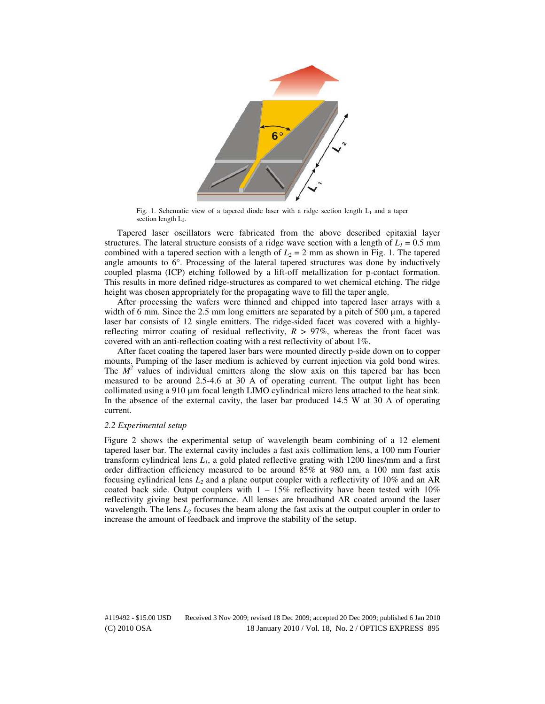

Fig. 1. Schematic view of a tapered diode laser with a ridge section length  $L_1$  and a taper section length L<sub>2</sub>.

Tapered laser oscillators were fabricated from the above described epitaxial layer structures. The lateral structure consists of a ridge wave section with a length of  $L<sub>1</sub> = 0.5$  mm combined with a tapered section with a length of  $L_2 = 2$  mm as shown in Fig. 1. The tapered angle amounts to  $6^\circ$ . Processing of the lateral tapered structures was done by inductively coupled plasma (ICP) etching followed by a lift-off metallization for p-contact formation. This results in more defined ridge-structures as compared to wet chemical etching. The ridge height was chosen appropriately for the propagating wave to fill the taper angle.

After processing the wafers were thinned and chipped into tapered laser arrays with a width of 6 mm. Since the 2.5 mm long emitters are separated by a pitch of 500  $\mu$ m, a tapered laser bar consists of 12 single emitters. The ridge-sided facet was covered with a highlyreflecting mirror coating of residual reflectivity,  $R > 97\%$ , whereas the front facet was covered with an anti-reflection coating with a rest reflectivity of about 1%.

After facet coating the tapered laser bars were mounted directly p-side down on to copper mounts. Pumping of the laser medium is achieved by current injection via gold bond wires. The  $M^2$  values of individual emitters along the slow axis on this tapered bar has been measured to be around 2.5-4.6 at 30 A of operating current. The output light has been collimated using a 910 µm focal length LIMO cylindrical micro lens attached to the heat sink. In the absence of the external cavity, the laser bar produced 14.5 W at 30 A of operating current.

#### *2.2 Experimental setup*

Figure 2 shows the experimental setup of wavelength beam combining of a 12 element tapered laser bar. The external cavity includes a fast axis collimation lens, a 100 mm Fourier transform cylindrical lens *L1*, a gold plated reflective grating with 1200 lines/mm and a first order diffraction efficiency measured to be around 85% at 980 nm, a 100 mm fast axis focusing cylindrical lens *L2* and a plane output coupler with a reflectivity of 10% and an AR coated back side. Output couplers with  $1 - 15\%$  reflectivity have been tested with 10% reflectivity giving best performance. All lenses are broadband AR coated around the laser wavelength. The lens  $L_2$  focuses the beam along the fast axis at the output coupler in order to increase the amount of feedback and improve the stability of the setup.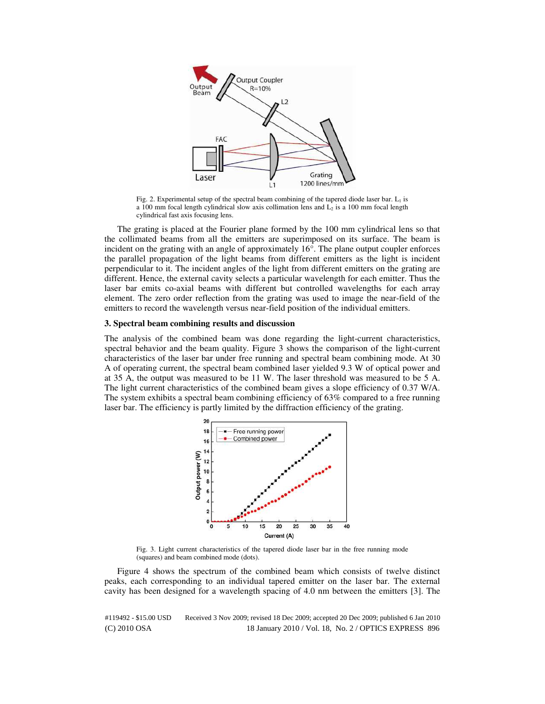

Fig. 2. Experimental setup of the spectral beam combining of the tapered diode laser bar.  $L_1$  is a 100 mm focal length cylindrical slow axis collimation lens and  $\overline{L_2}$  is a 100 mm focal length cylindrical fast axis focusing lens.

The grating is placed at the Fourier plane formed by the 100 mm cylindrical lens so that the collimated beams from all the emitters are superimposed on its surface. The beam is incident on the grating with an angle of approximately 16°. The plane output coupler enforces the parallel propagation of the light beams from different emitters as the light is incident perpendicular to it. The incident angles of the light from different emitters on the grating are different. Hence, the external cavity selects a particular wavelength for each emitter. Thus the laser bar emits co-axial beams with different but controlled wavelengths for each array element. The zero order reflection from the grating was used to image the near-field of the emitters to record the wavelength versus near-field position of the individual emitters.

#### **3. Spectral beam combining results and discussion**

The analysis of the combined beam was done regarding the light-current characteristics, spectral behavior and the beam quality. Figure 3 shows the comparison of the light-current characteristics of the laser bar under free running and spectral beam combining mode. At 30 A of operating current, the spectral beam combined laser yielded 9.3 W of optical power and at 35 A, the output was measured to be 11 W. The laser threshold was measured to be 5 A. The light current characteristics of the combined beam gives a slope efficiency of 0.37 W/A. The system exhibits a spectral beam combining efficiency of 63% compared to a free running laser bar. The efficiency is partly limited by the diffraction efficiency of the grating.



Fig. 3. Light current characteristics of the tapered diode laser bar in the free running mode (squares) and beam combined mode (dots).

Figure 4 shows the spectrum of the combined beam which consists of twelve distinct peaks, each corresponding to an individual tapered emitter on the laser bar. The external cavity has been designed for a wavelength spacing of 4.0 nm between the emitters [3]. The

(C) 2010 OSA 18 January 2010 / Vol. 18, No. 2 / OPTICS EXPRESS 896 #119492 - \$15.00 USD Received 3 Nov 2009; revised 18 Dec 2009; accepted 20 Dec 2009; published 6 Jan 2010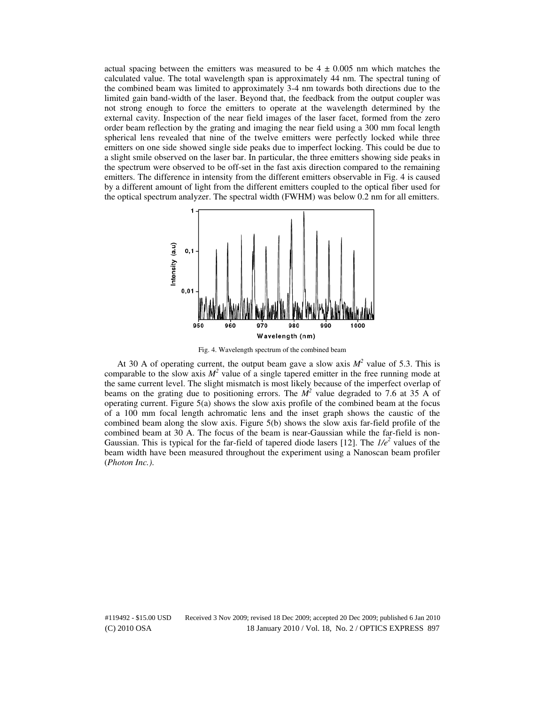actual spacing between the emitters was measured to be  $4 \pm 0.005$  nm which matches the calculated value. The total wavelength span is approximately 44 nm. The spectral tuning of the combined beam was limited to approximately 3-4 nm towards both directions due to the limited gain band-width of the laser. Beyond that, the feedback from the output coupler was not strong enough to force the emitters to operate at the wavelength determined by the external cavity. Inspection of the near field images of the laser facet, formed from the zero order beam reflection by the grating and imaging the near field using a 300 mm focal length spherical lens revealed that nine of the twelve emitters were perfectly locked while three emitters on one side showed single side peaks due to imperfect locking. This could be due to a slight smile observed on the laser bar. In particular, the three emitters showing side peaks in the spectrum were observed to be off-set in the fast axis direction compared to the remaining emitters. The difference in intensity from the different emitters observable in Fig. 4 is caused by a different amount of light from the different emitters coupled to the optical fiber used for the optical spectrum analyzer. The spectral width (FWHM) was below 0.2 nm for all emitters.



Fig. 4. Wavelength spectrum of the combined beam

At 30 A of operating current, the output beam gave a slow axis  $M^2$  value of 5.3. This is comparable to the slow axis  $M^2$  value of a single tapered emitter in the free running mode at the same current level. The slight mismatch is most likely because of the imperfect overlap of beams on the grating due to positioning errors. The  $\dot{M}^2$  value degraded to 7.6 at 35 A of operating current. Figure 5(a) shows the slow axis profile of the combined beam at the focus of a 100 mm focal length achromatic lens and the inset graph shows the caustic of the combined beam along the slow axis. Figure 5(b) shows the slow axis far-field profile of the combined beam at 30 A. The focus of the beam is near-Gaussian while the far-field is non-Gaussian. This is typical for the far-field of tapered diode lasers [12]. The  $1/e^2$  values of the beam width have been measured throughout the experiment using a Nanoscan beam profiler (*Photon Inc.)*.